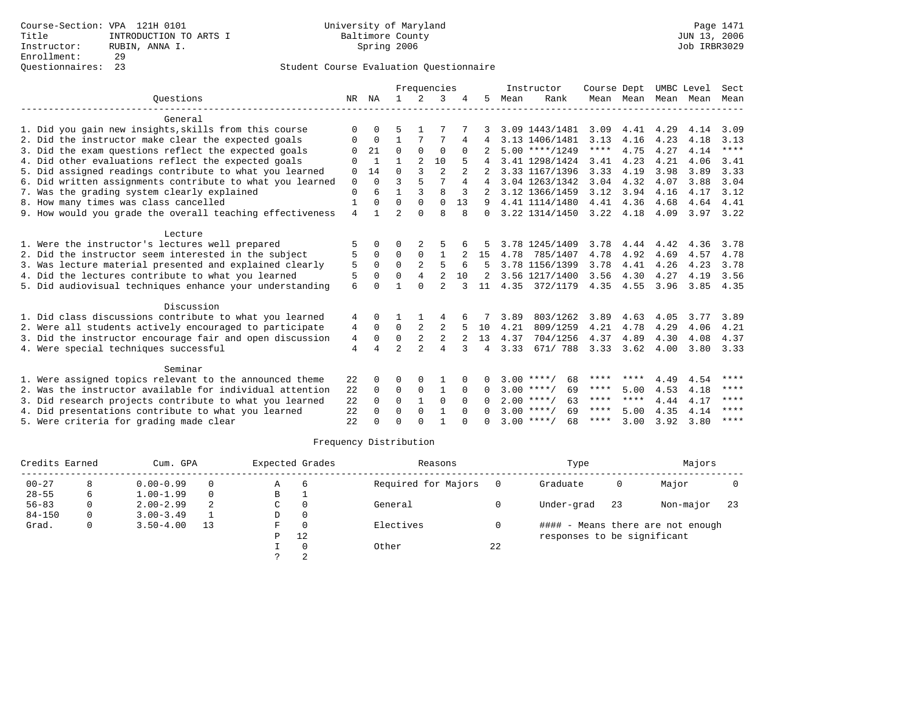|                                                           |                |          |                |                | Frequencies    |          |                |      | Instructor         | Course Dept |           | UMBC Level |      | Sect        |
|-----------------------------------------------------------|----------------|----------|----------------|----------------|----------------|----------|----------------|------|--------------------|-------------|-----------|------------|------|-------------|
| Ouestions                                                 | NR             | ΝA       | 1.             | $\mathcal{L}$  | 3              |          | 5.             | Mean | Rank               |             | Mean Mean | Mean       | Mean | Mean        |
| General                                                   |                |          |                |                |                |          |                |      |                    |             |           |            |      |             |
| 1. Did you gain new insights, skills from this course     | $\Omega$       | 0        | 5              |                |                |          |                |      | 3.09 1443/1481     | 3.09        | 4.41      | 4.29       | 4.14 | 3.09        |
| 2. Did the instructor make clear the expected goals       | O              | $\Omega$ | 1              |                | 7              | 4        | 4              |      | 3.13 1406/1481     | 3.13        | 4.16      | 4.23       | 4.18 | 3.13        |
| 3. Did the exam questions reflect the expected goals      | ∩              | 21       | $\Omega$       | $\Omega$       | $\Omega$       | $\Omega$ |                |      | $5.00$ ****/1249   | $***$ * * * | 4.75      | 4.27       | 4.14 | ****        |
| 4. Did other evaluations reflect the expected goals       | ∩              | -1       | 1              | 2              | 10             |          |                |      | 3.41 1298/1424     | 3.41        | 4.23      | 4.21       | 4.06 | 3.41        |
| 5. Did assigned readings contribute to what you learned   | $\mathbf 0$    | 14       | $\Omega$       | 3              | $\overline{2}$ |          |                |      | 3.33 1167/1396     | 3.33        | 4.19      | 3.98       | 3.89 | 3.33        |
| 6. Did written assignments contribute to what you learned | $\Omega$       | $\Omega$ | 3              | 5              | 7              | 4        | 4              |      | 3.04 1263/1342     | 3.04        | 4.32      | 4.07       | 3.88 | 3.04        |
| 7. Was the grading system clearly explained               | $\Omega$       | 6        | 1              | 3              | $\mathsf{R}$   | 3        |                |      | 3.12 1366/1459     | 3.12        | 3.94      | 4.16       | 4.17 | 3.12        |
| 8. How many times was class cancelled                     |                | O        | $\Omega$       | $\Omega$       | $\Omega$       | 13       | 9              |      | 4.41 1114/1480     | 4.41        | 4.36      | 4.68       | 4.64 | 4.41        |
| 9. How would you grade the overall teaching effectiveness | $\overline{4}$ | 1.       | $\overline{a}$ | $\Omega$       | $\mathsf{R}$   | 8        | $\Omega$       |      | 3.22 1314/1450     | 3.22        | 4.18      | 4.09       | 3.97 | 3.22        |
| Lecture                                                   |                |          |                |                |                |          |                |      |                    |             |           |            |      |             |
| 1. Were the instructor's lectures well prepared           | 5              | 0        | 0              | 2              |                |          |                |      | 3.78 1245/1409     | 3.78        | 4.44      | 4.42       | 4.36 | 3.78        |
| 2. Did the instructor seem interested in the subject      | 5              | $\Omega$ | $\Omega$       | $\Omega$       | $\mathbf{1}$   |          | 15             | 4.78 | 785/1407           | 4.78        | 4.92      | 4.69       | 4.57 | 4.78        |
| 3. Was lecture material presented and explained clearly   | 5              | $\Omega$ | $\mathbf 0$    | 2              | 5              |          |                |      | 3.78 1156/1399     | 3.78        | 4.41      | 4.26       | 4.23 | 3.78        |
| 4. Did the lectures contribute to what you learned        | 5              | $\Omega$ | $\Omega$       | $\overline{4}$ | $\overline{2}$ | 10       | $\mathfrak{D}$ |      | 3.56 1217/1400     | 3.56        | 4.30      | 4.27       | 4.19 | 3.56        |
| 5. Did audiovisual techniques enhance your understanding  | 6              | $\cap$   | 1              | $\Omega$       | $\overline{2}$ |          | 11             | 4.35 | 372/1179           | 4.35        | 4.55      | 3.96       | 3.85 | 4.35        |
| Discussion                                                |                |          |                |                |                |          |                |      |                    |             |           |            |      |             |
| 1. Did class discussions contribute to what you learned   | 4              | 0        |                |                | 4              | 6        |                | 3.89 | 803/1262           | 3.89        | 4.63      | 4.05       | 3.77 | 3.89        |
| 2. Were all students actively encouraged to participate   | 4              | $\Omega$ | $\mathbf 0$    |                | 2              |          | 10             | 4.21 | 809/1259           | 4.21        | 4.78      | 4.29       | 4.06 | 4.21        |
| 3. Did the instructor encourage fair and open discussion  | 4              | 0        | $\mathbf 0$    | 2              | 2              | 2        | 13             | 4.37 | 704/1256           | 4.37        | 4.89      | 4.30       | 4.08 | 4.37        |
| 4. Were special techniques successful                     | 4              | 4        | $\overline{a}$ | $\mathfrak{D}$ | $\overline{4}$ | 3        | 4              | 3.33 | 671/ 788           | 3.33        | 3.62      | 4.00       | 3.80 | 3.33        |
| Seminar                                                   |                |          |                |                |                |          |                |      |                    |             |           |            |      |             |
| 1. Were assigned topics relevant to the announced theme   | 22             | 0        | O              | $\Omega$       |                |          |                |      | 68<br>$3.00$ ****/ | ****        | ****      | 4.49       | 4.54 | ****        |
| 2. Was the instructor available for individual attention  | 22             | 0        | 0              | $\mathbf 0$    | $\mathbf{1}$   | $\Omega$ | <sup>0</sup>   |      | $3.00$ ****/<br>69 | ****        | 5.00      | 4.53       | 4.18 | $***$ * * * |
| 3. Did research projects contribute to what you learned   | 22             | $\Omega$ | $\mathbf 0$    | $\mathbf{1}$   | $\Omega$       | $\Omega$ | 0              |      | $2.00$ ****/<br>63 | ****        | ****      | 4.44       | 4.17 | ****        |
| 4. Did presentations contribute to what you learned       | 22             | $\Omega$ | $\Omega$       | $\Omega$       | $\mathbf{1}$   | $\Omega$ | <sup>n</sup>   |      | 69<br>$3.00$ ****/ | ****        | 5.00      | 4.35       | 4.14 | ****        |
| 5. Were criteria for grading made clear                   | 22             |          | $\Omega$       | ∩              |                |          |                |      | $3.00$ ****/<br>68 | ****        | 3.00      | 3.92       | 3.80 | $***$ * * * |

| Credits Earned |   | Cum. GPA      |    |              | Expected Grades | Reasons             |    | Type                        |    | Majors                            |     |
|----------------|---|---------------|----|--------------|-----------------|---------------------|----|-----------------------------|----|-----------------------------------|-----|
| $00 - 27$      | 8 | $0.00 - 0.99$ |    | $\mathbb{A}$ | -6              | Required for Majors |    | Graduate                    | 0  | Major                             |     |
| $28 - 55$      | 6 | $1.00 - 1.99$ |    | B            |                 |                     |    |                             |    |                                   |     |
| $56 - 83$      |   | $2.00 - 2.99$ | -2 | C            | $\Omega$        | General             |    | Under-grad                  | 23 | Non-major                         | -23 |
| $84 - 150$     | 0 | $3.00 - 3.49$ |    | D            | $\Omega$        |                     |    |                             |    |                                   |     |
| Grad.          | 0 | $3.50 - 4.00$ | 13 | F            | $\Omega$        | Electives           |    |                             |    | #### - Means there are not enough |     |
|                |   |               |    | P            | 12              |                     |    | responses to be significant |    |                                   |     |
|                |   |               |    |              | $\Omega$        | Other               | 22 |                             |    |                                   |     |
|                |   |               |    |              | $\Omega$        |                     |    |                             |    |                                   |     |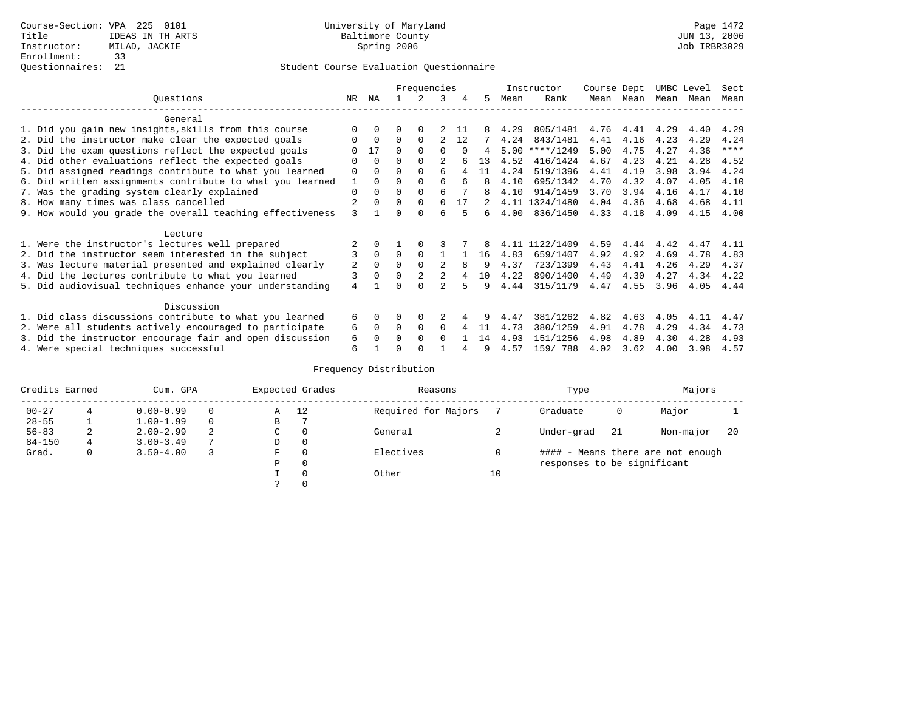|                                                           |                |          |          | Frequencies |                |          |    |      | Instructor     | Course Dept |           | UMBC Level |      | Sect        |
|-----------------------------------------------------------|----------------|----------|----------|-------------|----------------|----------|----|------|----------------|-------------|-----------|------------|------|-------------|
| Ouestions                                                 | NR.            | ΝA       |          |             | 3              | 4        | 5. | Mean | Rank           |             | Mean Mean | Mean       | Mean | Mean        |
| General                                                   |                |          |          |             |                |          |    |      |                |             |           |            |      |             |
| 1. Did you gain new insights, skills from this course     |                | $\Omega$ | 0        | $\Omega$    |                | 11       |    | 4.29 | 805/1481       | 4.76        | 4.41      | 4.29       | 4.40 | 4.29        |
| 2. Did the instructor make clear the expected goals       | O              | $\Omega$ | $\Omega$ | $\Omega$    |                | 12       |    | 4.24 | 843/1481       | 4.41        | 4.16      | 4.23       | 4.29 | 4.24        |
| 3. Did the exam questions reflect the expected goals      |                | 17       | $\Omega$ | $\Omega$    | $\Omega$       | $\Omega$ | 4  | 5.00 | $***/1249$     | 5.00        | 4.75      | 4.27       | 4.36 | $***$ * * * |
| 4. Did other evaluations reflect the expected goals       | O              | $\Omega$ | $\Omega$ | $\Omega$    |                |          | 13 | 4.52 | 416/1424       | 4.67        | 4.23      | 4.21       | 4.28 | 4.52        |
| 5. Did assigned readings contribute to what you learned   | $\mathbf 0$    | $\Omega$ | $\Omega$ | $\Omega$    | 6              |          | 11 | 4.24 | 519/1396       | 4.41        | 4.19      | 3.98       | 3.94 | 4.24        |
| 6. Did written assignments contribute to what you learned | $\mathbf{1}$   | $\Omega$ | 0        | $\Omega$    | 6              |          | 8  | 4.10 | 695/1342       | 4.70        | 4.32      | 4.07       | 4.05 | 4.10        |
| 7. Was the grading system clearly explained               | $\Omega$       | $\Omega$ | 0        | $\Omega$    | 6              |          |    | 4.10 | 914/1459       | 3.70        | 3.94      | 4.16       | 4.17 | 4.10        |
| 8. How many times was class cancelled                     |                | $\Omega$ | $\Omega$ | $\Omega$    | $\Omega$       | 17       |    |      | 4.11 1324/1480 | 4.04        | 4.36      | 4.68       | 4.68 | 4.11        |
| 9. How would you grade the overall teaching effectiveness | 3              |          | U        | ∩           | б              |          | б. | 4.00 | 836/1450       | 4.33        | 4.18      | 4.09       | 4.15 | 4.00        |
| Lecture                                                   |                |          |          |             |                |          |    |      |                |             |           |            |      |             |
| 1. Were the instructor's lectures well prepared           |                |          |          |             |                |          |    |      | 4.11 1122/1409 | 4.59        | 4.44      | 4.42       | 4.47 | 4.11        |
| 2. Did the instructor seem interested in the subject      | 3              | $\Omega$ | $\Omega$ | $\Omega$    |                |          | 16 | 4.83 | 659/1407       | 4.92        | 4.92      | 4.69       | 4.78 | 4.83        |
| 3. Was lecture material presented and explained clearly   | 2              | $\Omega$ | 0        |             | $\mathfrak{D}$ | 8        | 9  | 4.37 | 723/1399       | 4.43        | 4.41      | 4.26       | 4.29 | 4.37        |
| 4. Did the lectures contribute to what you learned        | 3              | $\Omega$ | $\Omega$ |             |                |          | 10 | 4.22 | 890/1400       | 4.49        | 4.30      | 4.27       | 4.34 | 4.22        |
| 5. Did audiovisual techniques enhance your understanding  | $\overline{4}$ |          |          |             |                |          | q  | 4.44 | 315/1179       | 4.47        | 4.55      | 3.96       | 4.05 | 4.44        |
| Discussion                                                |                |          |          |             |                |          |    |      |                |             |           |            |      |             |
| 1. Did class discussions contribute to what you learned   | 6              | $\Omega$ | 0        | $\Omega$    |                |          |    | 4.47 | 381/1262       | 4.82        | 4.63      | 4.05       | 4.11 | 4.47        |
| 2. Were all students actively encouraged to participate   | 6              | $\Omega$ | $\Omega$ | $\Omega$    | $\Omega$       |          | 11 | 4.73 | 380/1259       | 4.91        | 4.78      | 4.29       | 4.34 | 4.73        |
| 3. Did the instructor encourage fair and open discussion  | 6              | $\Omega$ | O        | $\Omega$    | $\Omega$       |          | 14 | 4.93 | 151/1256       | 4.98        | 4.89      | 4.30       | 4.28 | 4.93        |
| 4. Were special techniques successful                     | 6              |          |          |             |                |          |    | 4.57 | 159/788        | 4.02        | 3.62      | 4.00       | 3.98 | 4.57        |

| Credits Earned |   | Cum. GPA      |                |               | Expected Grades | Reasons             |    | Type                        |    | Majors                            |    |
|----------------|---|---------------|----------------|---------------|-----------------|---------------------|----|-----------------------------|----|-----------------------------------|----|
| $00 - 27$      |   | $0.00 - 0.99$ |                | A             | 12              | Required for Majors |    | Graduate                    | 0  | Major                             |    |
| $28 - 55$      |   | $1.00 - 1.99$ |                | В             |                 |                     |    |                             |    |                                   |    |
| $56 - 83$      | 2 | $2.00 - 2.99$ | 2              | $\sim$<br>◡   | $\Omega$        | General             |    | Under-grad                  | 21 | Non-major                         | 20 |
| $84 - 150$     | 4 | $3.00 - 3.49$ | $\overline{ }$ | D             | 0               |                     |    |                             |    |                                   |    |
| Grad.          | 0 | $3.50 - 4.00$ |                | F             | 0               | Electives           |    |                             |    | #### - Means there are not enough |    |
|                |   |               |                | Ρ             | 0               |                     |    | responses to be significant |    |                                   |    |
|                |   |               |                |               | 0               | Other               | 10 |                             |    |                                   |    |
|                |   |               |                | $\mathcal{L}$ |                 |                     |    |                             |    |                                   |    |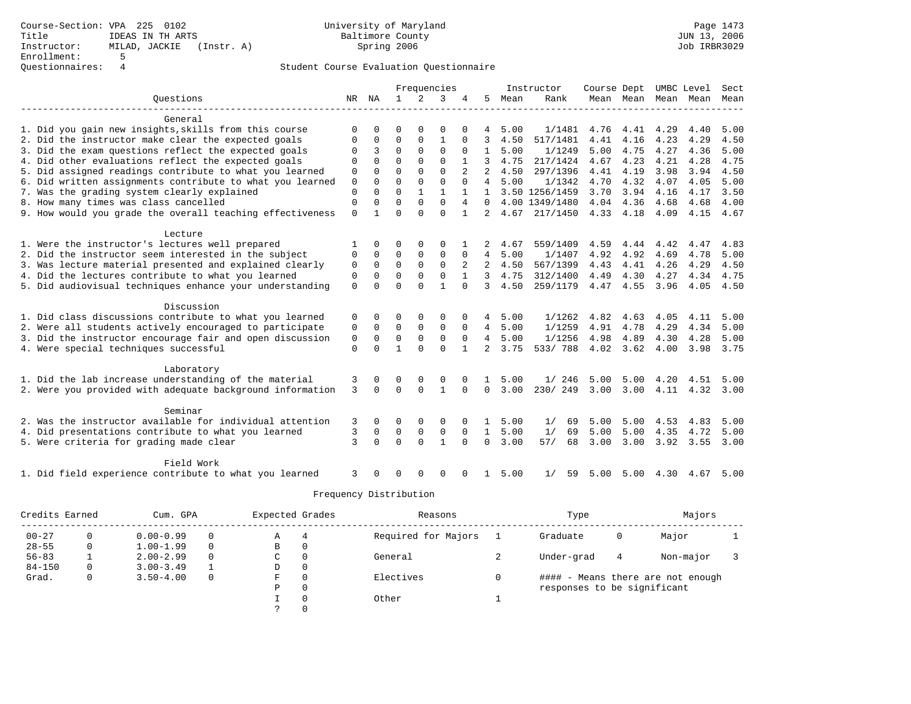Course-Section: VPA 225 0102 University of Maryland Page 1473 Title IDEAS IN TH ARTS Baltimore County JUN 13, 2006 Instructor: MILAD, JACKIE (Instr. A)<br>Enrollment: 5 Enrollment: 5 Questionnaires: 4

### Student Course Evaluation Questionnaire

|                                                           |             |             |              |              | Frequencies  |              |                 |      | Instructor     | Course Dept |           | UMBC Level |      | Sect |
|-----------------------------------------------------------|-------------|-------------|--------------|--------------|--------------|--------------|-----------------|------|----------------|-------------|-----------|------------|------|------|
| Ouestions                                                 | NR          | NA          | $\mathbf{1}$ | 2            | 3            | 4            | 5               | Mean | Rank           |             | Mean Mean | Mean       | Mean | Mean |
|                                                           |             |             |              |              |              |              |                 |      |                |             |           |            |      |      |
| General                                                   |             |             |              |              |              |              |                 |      |                |             |           |            |      |      |
| 1. Did you gain new insights, skills from this course     | ∩           |             | $\Omega$     | $\Omega$     | $\Omega$     |              |                 | 5.00 | 1/1481         | 4.76        | 4.41      | 4.29       | 4.40 | 5.00 |
| 2. Did the instructor make clear the expected goals       | $\Omega$    | 0           | 0            | $\Omega$     | 1            | $\Omega$     | 3               | 4.50 | 517/1481       | 4.41        | 4.16      | 4.23       | 4.29 | 4.50 |
| 3. Did the exam questions reflect the expected goals      |             | 3           | $\Omega$     | $\Omega$     | 0            | $\Omega$     | $\mathbf{1}$    | 5.00 | 1/1249         | 5.00        | 4.75      | 4.27       | 4.36 | 5.00 |
| 4. Did other evaluations reflect the expected goals       | $\Omega$    | $\Omega$    | $\Omega$     | $\Omega$     | $\Omega$     |              | 3               | 4.75 | 217/1424       | 4.67        | 4.23      | 4.21       | 4.28 | 4.75 |
| 5. Did assigned readings contribute to what you learned   | 0           | $\Omega$    | $\Omega$     | $\Omega$     | $\Omega$     |              |                 | 4.50 | 297/1396       | 4.41        | 4.19      | 3.98       | 3.94 | 4.50 |
| 6. Did written assignments contribute to what you learned | $\Omega$    | $\Omega$    | $\Omega$     | $\Omega$     | $\Omega$     | $\Omega$     | $\overline{4}$  | 5.00 | 1/1342         | 4.70        | 4.32      | 4.07       | 4.05 | 5.00 |
| 7. Was the grading system clearly explained               | $\Omega$    | $\Omega$    | $\Omega$     |              | 1            |              | 1               |      | 3.50 1256/1459 | 3.70        | 3.94      | 4.16       | 4.17 | 3.50 |
| 8. How many times was class cancelled                     | $\mathbf 0$ | $\Omega$    | $\Omega$     | $\Omega$     | $\Omega$     | 4            | $\Omega$        |      | 4.00 1349/1480 | 4.04        | 4.36      | 4.68       | 4.68 | 4.00 |
| 9. How would you grade the overall teaching effectiveness | $\Omega$    | 1           | $\Omega$     | $\cap$       | $\Omega$     | $\mathbf{1}$ | $\overline{2}$  | 4.67 | 217/1450       | 4.33        | 4.18      | 4.09       | 4.15 | 4.67 |
|                                                           |             |             |              |              |              |              |                 |      |                |             |           |            |      |      |
| Lecture                                                   |             |             |              |              |              |              |                 |      |                |             |           |            |      |      |
| 1. Were the instructor's lectures well prepared           |             | $\Omega$    | $\Omega$     | $\Omega$     | $\Omega$     |              | 2               | 4.67 | 559/1409       | 4.59        | 4.44      | 4.42       | 4.47 | 4.83 |
| 2. Did the instructor seem interested in the subject      | 0           | 0           | $\mathbf 0$  | $\mathbf{0}$ | $\mathbf 0$  | 0            | 4               | 5.00 | 1/1407         | 4.92        | 4.92      | 4.69       | 4.78 | 5.00 |
| 3. Was lecture material presented and explained clearly   | 0           | $\mathbf 0$ | $\mathbf 0$  | $\mathbf 0$  | $\mathbf 0$  | 2            | 2               | 4.50 | 567/1399       | 4.43        | 4.41      | 4.26       | 4.29 | 4.50 |
| 4. Did the lectures contribute to what you learned        | 0           | $\mathbf 0$ | $\mathbf 0$  | $\mathbf 0$  | $\mathbf 0$  |              | 3               | 4.75 | 312/1400       | 4.49        | 4.30      | 4.27       | 4.34 | 4.75 |
| 5. Did audiovisual techniques enhance your understanding  | $\Omega$    |             | $\Omega$     | $\Omega$     | $\mathbf{1}$ | $\Omega$     | 3               | 4.50 | 259/1179       | 4.47        | 4.55      | 3.96       | 4.05 | 4.50 |
| Discussion                                                |             |             |              |              |              |              |                 |      |                |             |           |            |      |      |
| 1. Did class discussions contribute to what you learned   | 0           | $\Omega$    | $\Omega$     |              | $\Omega$     |              | 4               | 5.00 | 1/1262         | 4.82        | 4.63      | 4.05       | 4.11 | 5.00 |
| 2. Were all students actively encouraged to participate   | 0           | $\Omega$    | $\Omega$     | $\Omega$     | $\Omega$     | $\Omega$     | $\overline{4}$  | 5.00 | 1/1259         | 4.91        | 4.78      | 4.29       | 4.34 | 5.00 |
| 3. Did the instructor encourage fair and open discussion  | 0           | $\Omega$    | 0            | $\Omega$     | $\Omega$     | $\Omega$     | $4\overline{ }$ | 5.00 | 1/1256         | 4.98        | 4.89      | 4.30       | 4.28 | 5.00 |
| 4. Were special techniques successful                     | $\Omega$    | $\Omega$    | $\mathbf{1}$ | $\Omega$     | $\Omega$     | 1            | $\overline{2}$  | 3.75 | 533/788        | 4.02        | 3.62      | 4.00       | 3.98 | 3.75 |
|                                                           |             |             |              |              |              |              |                 |      |                |             |           |            |      |      |
| Laboratory                                                |             |             |              |              |              |              |                 |      |                |             |           |            |      |      |
| 1. Did the lab increase understanding of the material     | 3           | 0           | 0            | 0            | 0            |              |                 | 5.00 | 1/246          | 5.00        | 5.00      | 4.20       | 4.51 | 5.00 |
| 2. Were you provided with adequate background information | 3           | $\Omega$    | $\Omega$     | $\Omega$     | $\mathbf{1}$ | $\Omega$     | $\Omega$        | 3.00 | 230/249        | 3.00        | 3.00      | 4.11       | 4.32 | 3.00 |
|                                                           |             |             |              |              |              |              |                 |      |                |             |           |            |      |      |
| Seminar                                                   |             |             |              |              |              |              |                 |      |                |             |           |            |      |      |
| 2. Was the instructor available for individual attention  | 3           | $\Omega$    | $\Omega$     | $\Omega$     | $\Omega$     |              |                 | 5.00 | 1/<br>69       | 5.00        | 5.00      | 4.53       | 4.83 | 5.00 |
| 4. Did presentations contribute to what you learned       | 3           | 0           | $\Omega$     | $\mathbf 0$  | $\mathbf 0$  | $\Omega$     | $\mathbf{1}$    | 5.00 | 1/<br>69       | 5.00        | 5.00      | 4.35       | 4.72 | 5.00 |
| 5. Were criteria for grading made clear                   | 3           | $\Omega$    | $\Omega$     | $\Omega$     | $\mathbf{1}$ | $\Omega$     | $\Omega$        | 3.00 | 57/<br>68      | 3.00        | 3.00      | 3.92       | 3.55 | 3.00 |
| Field Work                                                |             |             |              |              |              |              |                 |      |                |             |           |            |      |      |
| 1. Did field experience contribute to what you learned    | 3           |             |              |              |              |              |                 | 5.00 | 59<br>1/       | 5.00        | 5.00      | 4.30       | 4.67 | 5.00 |
|                                                           |             |             |              |              |              |              |                 |      |                |             |           |            |      |      |

| Credits Earned |   | Cum. GPA      |          | Expected Grades |   | Reasons             | Type                        |   | Majors                            |  |
|----------------|---|---------------|----------|-----------------|---|---------------------|-----------------------------|---|-----------------------------------|--|
| $00 - 27$      |   | $0.00 - 0.99$ | 0        | Α               | 4 | Required for Majors | Graduate                    | 0 | Major                             |  |
| $28 - 55$      |   | $1.00 - 1.99$ | $\Omega$ | В               |   |                     |                             |   |                                   |  |
| $56 - 83$      |   | $2.00 - 2.99$ | $\Omega$ | C               |   | General             | Under-grad                  | 4 | Non-major                         |  |
| $84 - 150$     | 0 | $3.00 - 3.49$ |          | D               | 0 |                     |                             |   |                                   |  |
| Grad.          | 0 | $3.50 - 4.00$ | 0        | F               |   | Electives           |                             |   | #### - Means there are not enough |  |
|                |   |               |          | Ρ               |   |                     | responses to be significant |   |                                   |  |
|                |   |               |          |                 |   | Other               |                             |   |                                   |  |
|                |   |               |          |                 |   |                     |                             |   |                                   |  |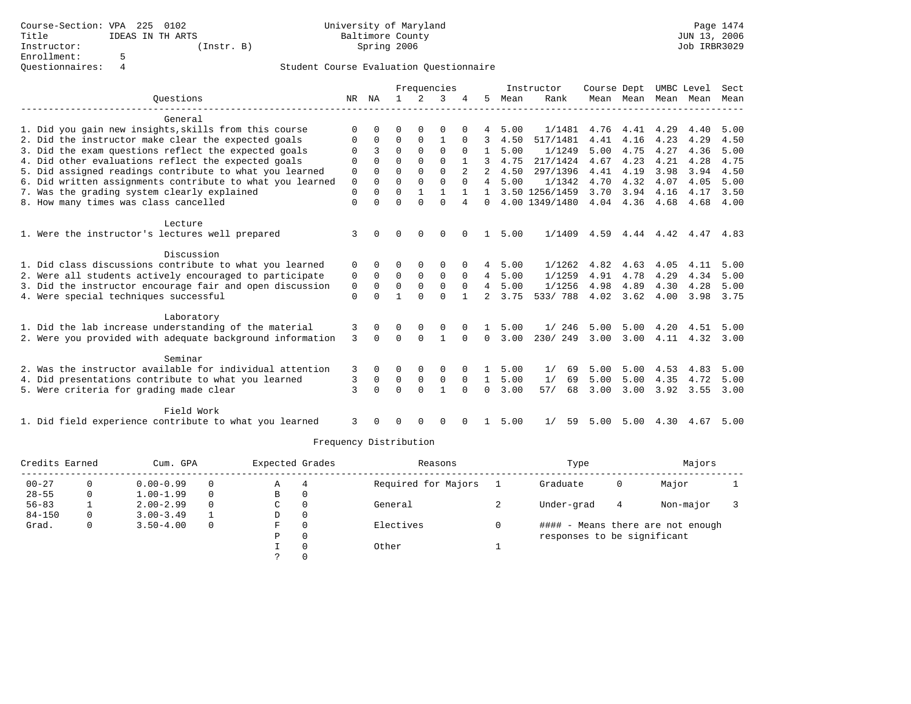|                                                           |             |              |             |             | Frequencies  |                |                |      | Instructor     | Course Dept |                |      | UMBC Level               | Sect      |
|-----------------------------------------------------------|-------------|--------------|-------------|-------------|--------------|----------------|----------------|------|----------------|-------------|----------------|------|--------------------------|-----------|
| Ouestions                                                 | NR          | NA           |             | 2           | κ            |                | 5              | Mean | Rank           |             | Mean Mean Mean |      | Mean                     | Mean      |
| General                                                   |             |              |             |             |              |                |                |      |                |             |                |      |                          |           |
| 1. Did you gain new insights, skills from this course     | $\Omega$    |              | O           |             | 0            |                |                | 5.00 | 1/1481         | 4.76        | 4.41           | 4.29 | 4.40                     | 5.00      |
| 2. Did the instructor make clear the expected goals       | $\Omega$    | $\Omega$     | $\Omega$    | 0           | 1            | $\Omega$       | 3              | 4.50 | 517/1481       | 4.41        | 4.16           | 4.23 | 4.29                     | 4.50      |
| 3. Did the exam questions reflect the expected goals      |             | 3            | $\Omega$    | $\Omega$    | $\Omega$     | $\Omega$       |                | 5.00 | 1/1249         | 5.00        | 4.75           | 4.27 | 4.36                     | 5.00      |
| 4. Did other evaluations reflect the expected goals       | $\Omega$    | $\Omega$     | $\Omega$    | $\Omega$    | $\Omega$     |                | 3              | 4.75 | 217/1424       | 4.67        | 4.23           | 4.21 | 4.28                     | 4.75      |
| 5. Did assigned readings contribute to what you learned   | $\mathbf 0$ | $\Omega$     | $\Omega$    | $\Omega$    | $\Omega$     | $\overline{a}$ |                | 4.50 | 297/1396       | 4.41        | 4.19           | 3.98 | 3.94                     | 4.50      |
| 6. Did written assignments contribute to what you learned | $\mathsf 0$ | $\Omega$     | $\Omega$    | $\Omega$    | $\Omega$     | $\cap$         | $\overline{4}$ | 5.00 | 1/1342         | 4.70        | 4.32           | 4.07 | 4.05                     | 5.00      |
| 7. Was the grading system clearly explained               | $\mathbf 0$ | $\Omega$     | $\Omega$    |             |              |                | $\mathbf{1}$   |      | 3.50 1256/1459 | 3.70        | 3.94           | 4.16 | 4.17                     | 3.50      |
| 8. How many times was class cancelled                     | $\mathbf 0$ | $\Omega$     | $\Omega$    | $\Omega$    | $\Omega$     | 4              | $\Omega$       |      | 4.00 1349/1480 | 4.04        | 4.36           | 4.68 | 4.68                     | 4.00      |
| Lecture                                                   |             |              |             |             |              |                |                |      |                |             |                |      |                          |           |
| 1. Were the instructor's lectures well prepared           | 3           | <sup>n</sup> | $\Omega$    | $\Omega$    | $\Omega$     |                | 1              | 5.00 | 1/1409         |             |                |      | 4.59 4.44 4.42 4.47 4.83 |           |
| Discussion                                                |             |              |             |             |              |                |                |      |                |             |                |      |                          |           |
| 1. Did class discussions contribute to what you learned   | 0           |              |             |             | 0            |                | 4              | 5.00 | 1/1262         | 4.82        | 4.63           | 4.05 | 4.11                     | 5.00      |
| 2. Were all students actively encouraged to participate   | 0           | $\Omega$     | 0           | $\Omega$    | $\Omega$     | $\Omega$       | 4              | 5.00 | 1/1259         | 4.91        | 4.78           | 4.29 | 4.34                     | 5.00      |
| 3. Did the instructor encourage fair and open discussion  | $\mathbf 0$ | $\Omega$     | $\mathbf 0$ | $\mathbf 0$ | $\mathbf 0$  | $\Omega$       | $\overline{4}$ | 5.00 | 1/1256         | 4.98        | 4.89           | 4.30 | 4.28                     | 5.00      |
| 4. Were special techniques successful                     | $\Omega$    | $\Omega$     | 1           | $\Omega$    | $\Omega$     | $\mathbf{1}$   | $2^{\circ}$    | 3.75 | 533/788        | 4.02        | 3.62           | 4.00 | 3.98                     | 3.75      |
| Laboratory                                                |             |              |             |             |              |                |                |      |                |             |                |      |                          |           |
| 1. Did the lab increase understanding of the material     | 3           | $\Omega$     | $\Omega$    | 0           | 0            |                |                | 5.00 | 1/246          | 5.00        | 5.00           | 4.20 | 4.51                     | 5.00      |
| 2. Were you provided with adequate background information | 3           | $\Omega$     | $\Omega$    | $\Omega$    | $\mathbf{1}$ | $\Omega$       | $\Omega$       | 3.00 | 230/249        | 3.00        | 3.00           | 4.11 |                          | 4.32 3.00 |
| Seminar                                                   |             |              |             |             |              |                |                |      |                |             |                |      |                          |           |
| 2. Was the instructor available for individual attention  | 3           | $\Omega$     | O           | $\Omega$    | $\Omega$     | 0              | $\mathbf{1}$   | 5.00 | 69<br>1/       | 5.00        | 5.00           | 4.53 | 4.83                     | 5.00      |
| 4. Did presentations contribute to what you learned       | 3           | 0            | 0           | $\mathbf 0$ | $\mathbf 0$  | $\Omega$       | $\mathbf{1}$   | 5.00 | 1/<br>69       | 5.00        | 5.00           | 4.35 | 4.72                     | 5.00      |
| 5. Were criteria for grading made clear                   | 3           | $\Omega$     | $\Omega$    | $\Omega$    | $\mathbf{1}$ | $\Omega$       | $\Omega$       | 3.00 | 57/<br>68      | 3.00        | 3.00           | 3.92 | 3.55                     | 3.00      |
| Field Work                                                |             |              |             |             |              |                |                |      |                |             |                |      |                          |           |
| 1. Did field experience contribute to what you learned    | 3           |              | U           | ∩           | 0            |                |                | 5.00 | 59<br>1/       | 5.00        | 5.00           | 4.30 | 4.67                     | 5.00      |

| Credits Earned |   | Cum. GPA      |          | Expected Grades |   | Reasons             | Type                        |   | Majors                            |  |
|----------------|---|---------------|----------|-----------------|---|---------------------|-----------------------------|---|-----------------------------------|--|
| $00 - 27$      |   | $0.00 - 0.99$ | $\Omega$ | Α               | 4 | Required for Majors | Graduate                    | 0 | Major                             |  |
| $28 - 55$      | 0 | $1.00 - 1.99$ | $\Omega$ | B               | 0 |                     |                             |   |                                   |  |
| $56 - 83$      |   | $2.00 - 2.99$ | $\Omega$ | C               |   | General             | Under-grad                  | 4 | Non-major                         |  |
| $84 - 150$     | 0 | $3.00 - 3.49$ |          | D               |   |                     |                             |   |                                   |  |
| Grad.          | O | $3.50 - 4.00$ | $\Omega$ | F               |   | Electives           |                             |   | #### - Means there are not enough |  |
|                |   |               |          | P               |   |                     | responses to be significant |   |                                   |  |
|                |   |               |          |                 |   | Other               |                             |   |                                   |  |
|                |   |               |          |                 |   |                     |                             |   |                                   |  |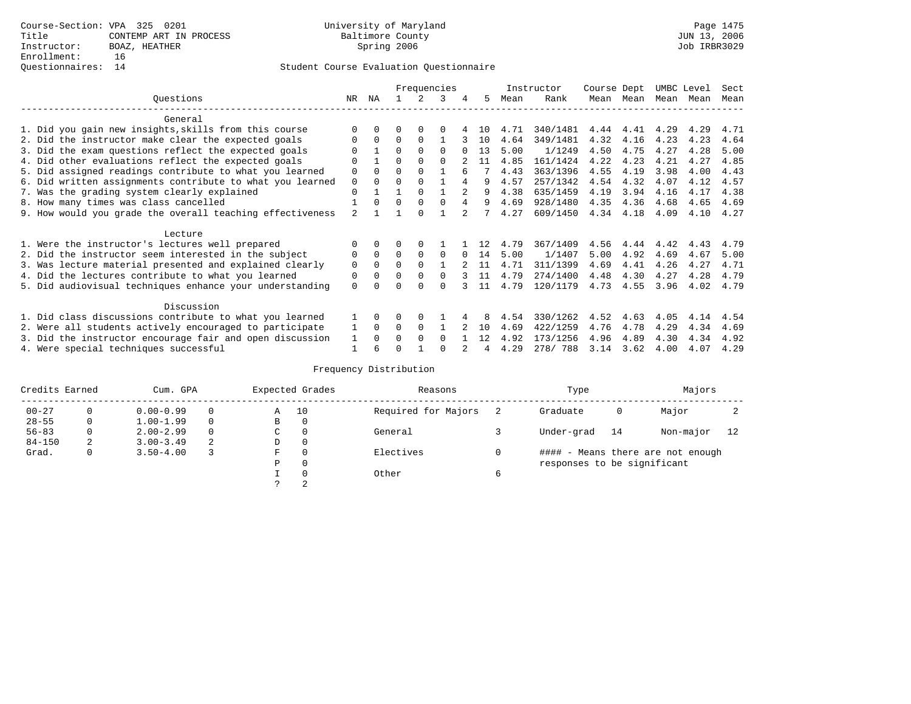|                                                           |                |              |          |              | Frequencies |    |     |      | Instructor | Course Dept |      | UMBC Level |      | Sect |
|-----------------------------------------------------------|----------------|--------------|----------|--------------|-------------|----|-----|------|------------|-------------|------|------------|------|------|
| Ouestions                                                 | NR.            | ΝA           |          |              | 3           | 4  | 5   | Mean | Rank       | Mean        | Mean | Mean       | Mean | Mean |
| General                                                   |                |              |          |              |             |    |     |      |            |             |      |            |      |      |
| 1. Did you gain new insights, skills from this course     |                | <sup>0</sup> |          | $\Omega$     |             |    | 1 O | 4.71 | 340/1481   | 4.44        | 4.41 | 4.29       | 4.29 | 4.71 |
| 2. Did the instructor make clear the expected goals       |                | $\Omega$     | 0        | $\Omega$     |             |    | 10  | 4.64 | 349/1481   | 4.32        | 4.16 | 4.23       | 4.23 | 4.64 |
| 3. Did the exam questions reflect the expected goals      |                |              | $\Omega$ | $\Omega$     | 0           |    | 13  | 5.00 | 1/1249     | 4.50        | 4.75 | 4.27       | 4.28 | 5.00 |
| 4. Did other evaluations reflect the expected goals       | $\Omega$       |              | 0        | $\Omega$     | $\Omega$    |    | 11  | 4.85 | 161/1424   | 4.22        | 4.23 | 4.21       | 4.27 | 4.85 |
| 5. Did assigned readings contribute to what you learned   | 0              | $\Omega$     | U        | $\Omega$     |             | б. |     | 4.43 | 363/1396   | 4.55        | 4.19 | 3.98       | 4.00 | 4.43 |
| 6. Did written assignments contribute to what you learned | 0              | $\Omega$     | U        | $\Omega$     |             |    | 9   | 4.57 | 257/1342   | 4.54        | 4.32 | 4.07       | 4.12 | 4.57 |
| 7. Was the grading system clearly explained               | 0              |              |          | $\Omega$     |             |    | 9   | 4.38 | 635/1459   | 4.19        | 3.94 | 4.16       | 4.17 | 4.38 |
| 8. How many times was class cancelled                     |                | 0            | 0        | $\Omega$     | $\Omega$    |    | 9   | 4.69 | 928/1480   | 4.35        | 4.36 | 4.68       | 4.65 | 4.69 |
| 9. How would you grade the overall teaching effectiveness | $\mathfrak{D}$ |              |          | <sup>n</sup> |             |    |     | 4.27 | 609/1450   | 4.34        | 4.18 | 4.09       | 4.10 | 4.27 |
| Lecture                                                   |                |              |          |              |             |    |     |      |            |             |      |            |      |      |
| 1. Were the instructor's lectures well prepared           |                |              |          |              |             |    |     | 4.79 | 367/1409   | 4.56        | 4.44 | 4.42       | 4.43 | 4.79 |
| 2. Did the instructor seem interested in the subject      | 0              | $\Omega$     | 0        | $\Omega$     | 0           |    | 14  | 5.00 | 1/1407     | 5.00        | 4.92 | 4.69       | 4.67 | 5.00 |
| 3. Was lecture material presented and explained clearly   | 0              | $\Omega$     | 0        | $\Omega$     |             |    | 11  | 4.71 | 311/1399   | 4.69        | 4.41 | 4.26       | 4.27 | 4.71 |
| 4. Did the lectures contribute to what you learned        | 0              | $\Omega$     | U        | $\Omega$     | $\Omega$    |    | 11  | 4.79 | 274/1400   | 4.48        | 4.30 | 4.27       | 4.28 | 4.79 |
| 5. Did audiovisual techniques enhance your understanding  | 0              |              |          |              |             |    | 11  | 4.79 | 120/1179   | 4.73        | 4.55 | 3.96       | 4.02 | 4.79 |
| Discussion                                                |                |              |          |              |             |    |     |      |            |             |      |            |      |      |
| 1. Did class discussions contribute to what you learned   |                | 0            | 0        | $\Omega$     |             |    |     | 4.54 | 330/1262   | 4.52        | 4.63 | 4.05       | 4.14 | 4.54 |
| 2. Were all students actively encouraged to participate   |                | $\Omega$     | 0        | $\Omega$     |             |    | 10  | 4.69 | 422/1259   | 4.76        | 4.78 | 4.29       | 4.34 | 4.69 |
| 3. Did the instructor encourage fair and open discussion  |                |              |          | $\Omega$     | $\Omega$    |    | 12  | 4.92 | 173/1256   | 4.96        | 4.89 | 4.30       | 4.34 | 4.92 |
| 4. Were special techniques successful                     |                | 6            |          |              |             |    |     | 4.29 | 278/788    | 3.14        | 3.62 | 4.00       | 4.07 | 4.29 |

| Credits Earned |          | Cum. GPA      |   |   | Expected Grades | Reasons             | Type                        |    | Majors                            |    |
|----------------|----------|---------------|---|---|-----------------|---------------------|-----------------------------|----|-----------------------------------|----|
| $00 - 27$      | $\Omega$ | $0.00 - 0.99$ |   | Α | 10              | Required for Majors | Graduate                    | 0  | Major                             |    |
| $28 - 55$      | 0        | $1.00 - 1.99$ |   | B | 0               |                     |                             |    |                                   |    |
| $56 - 83$      | 0        | $2.00 - 2.99$ |   | C | 0               | General             | Under-grad                  | 14 | Non-major                         | 12 |
| $84 - 150$     | 2        | $3.00 - 3.49$ | 2 | D | 0               |                     |                             |    |                                   |    |
| Grad.          | 0        | $3.50 - 4.00$ |   | F | 0               | Electives           |                             |    | #### - Means there are not enough |    |
|                |          |               |   | Ρ | 0               |                     | responses to be significant |    |                                   |    |
|                |          |               |   |   | $\Omega$        | Other               |                             |    |                                   |    |
|                |          |               |   |   | 2               |                     |                             |    |                                   |    |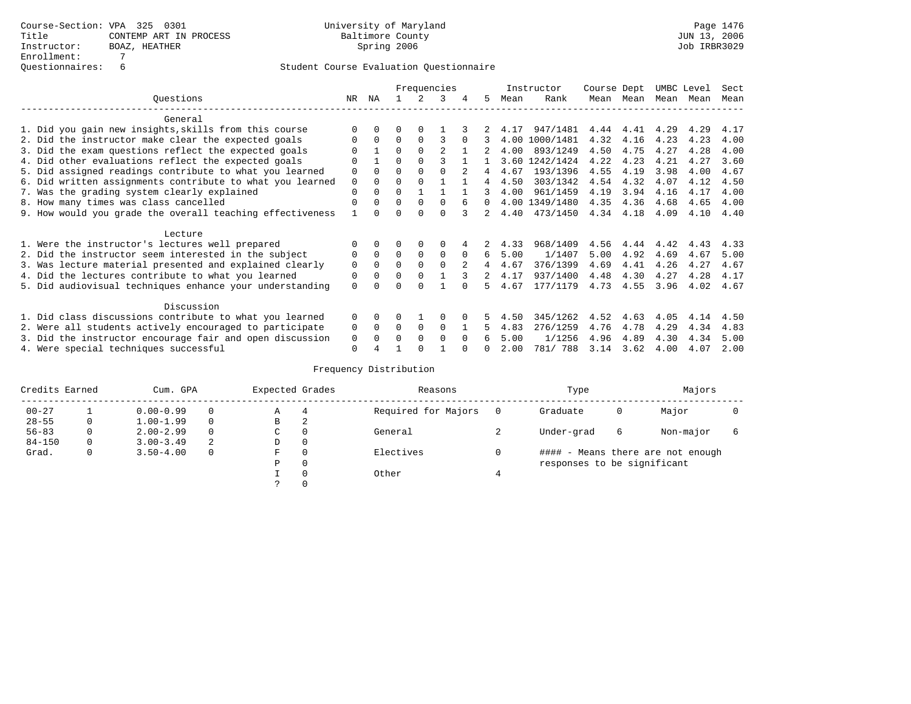|                                                           |             | Frequencies<br>ΝA<br>NR.<br>3<br>5. |          |          |                |          |          |      | Instructor     | Course Dept |      | UMBC Level |      | Sect |
|-----------------------------------------------------------|-------------|-------------------------------------|----------|----------|----------------|----------|----------|------|----------------|-------------|------|------------|------|------|
| Ouestions                                                 |             |                                     |          |          |                |          |          | Mean | Rank           | Mean        | Mean | Mean       | Mean | Mean |
| General                                                   |             |                                     |          |          |                |          |          |      |                |             |      |            |      |      |
| 1. Did you gain new insights, skills from this course     |             | $\Omega$                            | O        | $\Omega$ |                |          |          | 4.17 | 947/1481       | 4.44        | 4.41 | 4.29       | 4.29 | 4.17 |
| 2. Did the instructor make clear the expected goals       | O           | $\Omega$                            | $\Omega$ | $\Omega$ |                | $\Omega$ | 3        | 4.00 | 1000/1481      | 4.32        | 4.16 | 4.23       | 4.23 | 4.00 |
| 3. Did the exam questions reflect the expected goals      |             |                                     | $\Omega$ | $\Omega$ | $\mathfrak{D}$ |          |          | 4.00 | 893/1249       | 4.50        | 4.75 | 4.27       | 4.28 | 4.00 |
| 4. Did other evaluations reflect the expected goals       | O           |                                     | $\Omega$ |          |                |          |          |      | 3.60 1242/1424 | 4.22        | 4.23 | 4.21       | 4.27 | 3.60 |
| 5. Did assigned readings contribute to what you learned   | $\mathbf 0$ | $\Omega$                            | $\Omega$ |          | 0              |          | 4        | 4.67 | 193/1396       | 4.55        | 4.19 | 3.98       | 4.00 | 4.67 |
| 6. Did written assignments contribute to what you learned | $\mathbf 0$ | $\Omega$                            | $\Omega$ |          |                |          | 4        | 4.50 | 303/1342       | 4.54        | 4.32 | 4.07       | 4.12 | 4.50 |
| 7. Was the grading system clearly explained               | $\Omega$    | $\Omega$                            | $\Omega$ |          |                |          |          | 4.00 | 961/1459       | 4.19        | 3.94 | 4.16       | 4.17 | 4.00 |
| 8. How many times was class cancelled                     | $\Omega$    | $\Omega$                            | $\Omega$ | $\Omega$ | $\Omega$       |          | $\Omega$ |      | 4.00 1349/1480 | 4.35        | 4.36 | 4.68       | 4.65 | 4.00 |
| 9. How would you grade the overall teaching effectiveness |             | <sup>n</sup>                        | U        | ∩        | $\cap$         | २        | 2        | 4.40 | 473/1450       | 4.34        | 4.18 | 4.09       | 4.10 | 4.40 |
| Lecture                                                   |             |                                     |          |          |                |          |          |      |                |             |      |            |      |      |
| 1. Were the instructor's lectures well prepared           |             |                                     |          |          | $\Omega$       |          |          | 4.33 | 968/1409       | 4.56        | 4.44 | 4.42       | 4.43 | 4.33 |
| 2. Did the instructor seem interested in the subject      | 0           | $\Omega$                            | $\Omega$ | $\Omega$ | $\mathbf 0$    | $\Omega$ | 6        | 5.00 | 1/1407         | 5.00        | 4.92 | 4.69       | 4.67 | 5.00 |
| 3. Was lecture material presented and explained clearly   | $\mathbf 0$ | $\Omega$                            | $\Omega$ | $\Omega$ | $\Omega$       |          | 4        | 4.67 | 376/1399       | 4.69        | 4.41 | 4.26       | 4.27 | 4.67 |
| 4. Did the lectures contribute to what you learned        | 0           | $\Omega$                            | $\Omega$ | $\Omega$ |                |          |          | 4.17 | 937/1400       | 4.48        | 4.30 | 4.27       | 4.28 | 4.17 |
| 5. Did audiovisual techniques enhance your understanding  | $\Omega$    |                                     |          |          |                |          |          | 4.67 | 177/1179       | 4.73        | 4.55 | 3.96       | 4.02 | 4.67 |
| Discussion                                                |             |                                     |          |          |                |          |          |      |                |             |      |            |      |      |
| 1. Did class discussions contribute to what you learned   | $\Omega$    | $\Omega$                            | U        |          | O              |          |          | 4.50 | 345/1262       | 4.52        | 4.63 | 4.05       | 4.14 | 4.50 |
| 2. Were all students actively encouraged to participate   | 0           | $\Omega$                            | $\Omega$ | $\Omega$ | $\Omega$       |          | 5.       | 4.83 | 276/1259       | 4.76        | 4.78 | 4.29       | 4.34 | 4.83 |
| 3. Did the instructor encourage fair and open discussion  | 0           |                                     | O        | $\Omega$ | $\Omega$       | $\Omega$ | 6        | 5.00 | 1/1256         | 4.96        | 4.89 | 4.30       | 4.34 | 5.00 |
| 4. Were special techniques successful                     | $\Omega$    |                                     |          |          |                |          |          | 2.00 | 781/ 788       | 3.14        | 3.62 | 4.00       | 4.07 | 2.00 |

| Credits Earned |   | Cum. GPA      |   | Expected Grades |   | Reasons             | Type                        |   | Majors                            |   |
|----------------|---|---------------|---|-----------------|---|---------------------|-----------------------------|---|-----------------------------------|---|
| $00 - 27$      |   | $0.00 - 0.99$ |   | Α               | 4 | Required for Majors | Graduate                    | 0 | Major                             |   |
| $28 - 55$      | 0 | $1.00 - 1.99$ |   | B               | 2 |                     |                             |   |                                   |   |
| $56 - 83$      | 0 | $2.00 - 2.99$ | 0 | $\sim$<br>◡     | 0 | General             | Under-grad                  | 6 | Non-major                         | 6 |
| $84 - 150$     | 0 | $3.00 - 3.49$ | 2 | D               | 0 |                     |                             |   |                                   |   |
| Grad.          | 0 | $3.50 - 4.00$ |   | F               | 0 | Electives           |                             |   | #### - Means there are not enough |   |
|                |   |               |   | Ρ               | 0 |                     | responses to be significant |   |                                   |   |
|                |   |               |   |                 | 0 | Other               |                             |   |                                   |   |
|                |   |               |   | C.              |   |                     |                             |   |                                   |   |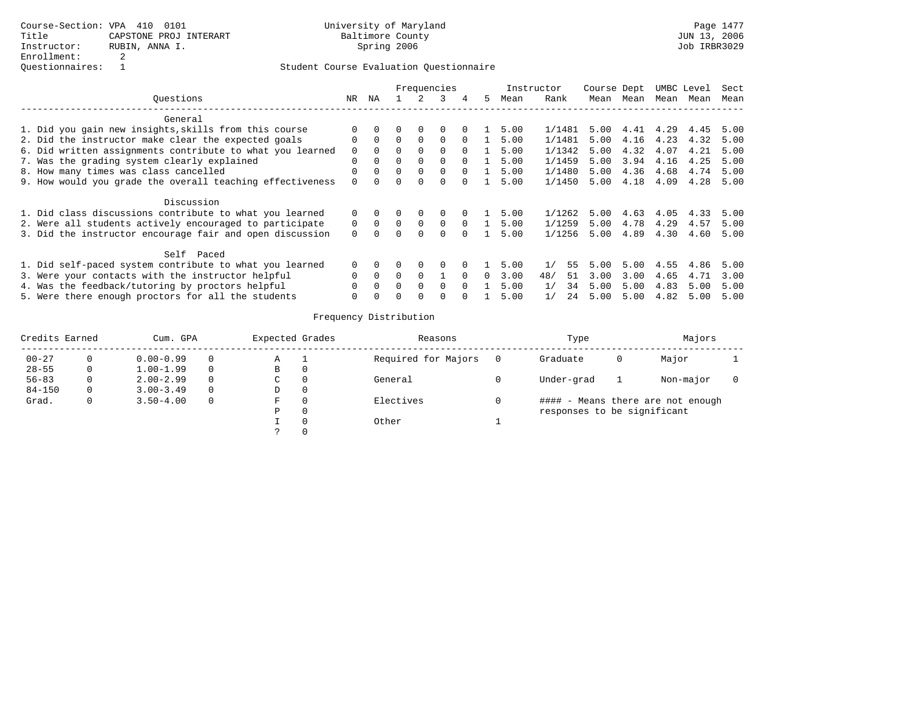|                                                           |              | Frequencies |              |          |               |          |    |      | Instructor | Course Dept |      | UMBC Level |      | Sect |  |
|-----------------------------------------------------------|--------------|-------------|--------------|----------|---------------|----------|----|------|------------|-------------|------|------------|------|------|--|
| Ouestions                                                 | NR.          | ΝA          |              |          | $\mathcal{L}$ | 4        | 5. | Mean | Rank       | Mean        | Mean | Mean       | Mean | Mean |  |
| General                                                   |              |             |              |          |               |          |    |      |            |             |      |            |      |      |  |
| 1. Did you gain new insights, skills from this course     |              |             |              | $\Omega$ | 0             |          |    | 5.00 | 1/1481     | 5.00        |      | 4.41 4.29  | 4.45 | 5.00 |  |
| 2. Did the instructor make clear the expected goals       | $\Omega$     | $\Omega$    | $\Omega$     | $\Omega$ | $\Omega$      | $\Omega$ |    | 5.00 | 1/1481     | 5.00        | 4.16 | 4.23       | 4.32 | 5.00 |  |
| 6. Did written assignments contribute to what you learned | 0            |             |              | $\Omega$ | $\Omega$      | $\Omega$ |    | 5.00 | 1/1342     | 5.00        | 4.32 | 4.07       | 4.21 | 5.00 |  |
| 7. Was the grading system clearly explained               | $\mathbf 0$  | $\Omega$    | 0            | $\Omega$ | $\Omega$      | $\Omega$ |    | 5.00 | 1/1459     | 5.00        | 3.94 | 4.16       | 4.25 | 5.00 |  |
| 8. How many times was class cancelled                     | 0            | $\Omega$    |              | 0        | $\Omega$      | $\Omega$ |    | 5.00 | 1/1480     | 5.00        | 4.36 | 4.68       | 4.74 | 5.00 |  |
| 9. How would you grade the overall teaching effectiveness | $\Omega$     | $\Omega$    | <sup>n</sup> | $\Omega$ | $\Omega$      | $\cap$   |    | 5.00 | 1/1450     | 5.00        | 4.18 | 4.09       | 4.28 | 5.00 |  |
| Discussion                                                |              |             |              |          |               |          |    |      |            |             |      |            |      |      |  |
| 1. Did class discussions contribute to what you learned   | 0            |             |              | 0        | 0             |          |    | 5.00 | 1/1262     | 5.00        | 4.63 | 4.05       | 4.33 | 5.00 |  |
| 2. Were all students actively encouraged to participate   |              | $\Omega$    | $\Omega$     | $\Omega$ | $\Omega$      | $\Omega$ |    | 5.00 | 1/1259     | 5.00        | 4.78 | 4.29       | 4.57 | 5.00 |  |
| 3. Did the instructor encourage fair and open discussion  | $\Omega$     | $\Omega$    |              | $\Omega$ | <sup>0</sup>  | $\Omega$ |    | 5.00 | 1/1256     | 5.00        | 4.89 | 4.30       | 4.60 | 5.00 |  |
| Self Paced                                                |              |             |              |          |               |          |    |      |            |             |      |            |      |      |  |
| 1. Did self-paced system contribute to what you learned   |              |             |              | $\Omega$ |               |          |    | 5.00 | 55<br>1/   | 5.00        | 5.00 | 4.55       | 4.86 | 5.00 |  |
| 3. Were your contacts with the instructor helpful         | $\Omega$     | $\Omega$    | $\Omega$     | $\Omega$ |               | $\Omega$ | 0  | 3.00 | 48/<br>51  | 3.00        | 3.00 | 4.65       | 4.71 | 3.00 |  |
| 4. Was the feedback/tutoring by proctors helpful          | $\Omega$     | $\Omega$    | $\Omega$     | $\Omega$ | $\Omega$      | $\Omega$ |    | 5.00 | 1/<br>34   | 5.00        | 5.00 | 4.83       | 5.00 | 5.00 |  |
| 5. Were there enough proctors for all the students        | <sup>0</sup> | $\Omega$    | U            | $\Omega$ | U             |          |    | 5.00 | 1/<br>24   | 5.00        | 5.00 | 4.82       | 5.00 | 5.00 |  |

| Credits Earned |   | Cum. GPA      |          |   | Expected Grades | Reasons             | Type                        | Majors |                                   |  |
|----------------|---|---------------|----------|---|-----------------|---------------------|-----------------------------|--------|-----------------------------------|--|
| $00 - 27$      |   | $0.00 - 0.99$ | $\Omega$ | Α | - 1             | Required for Majors | Graduate                    | U      | Major                             |  |
| $28 - 55$      | 0 | $1.00 - 1.99$ | $\Omega$ | B | 0               |                     |                             |        |                                   |  |
| $56 - 83$      | 0 | $2.00 - 2.99$ | $\Omega$ | С | 0               | General             | Under-grad                  |        | Non-major                         |  |
| $84 - 150$     | 0 | $3.00 - 3.49$ | $\Omega$ | D | $\circ$         |                     |                             |        |                                   |  |
| Grad.          | 0 | $3.50 - 4.00$ | $\Omega$ | F | 0               | Electives           |                             |        | #### - Means there are not enough |  |
|                |   |               |          | Р | 0               |                     | responses to be significant |        |                                   |  |
|                |   |               |          |   | $\Omega$        | Other               |                             |        |                                   |  |
|                |   |               |          |   |                 |                     |                             |        |                                   |  |